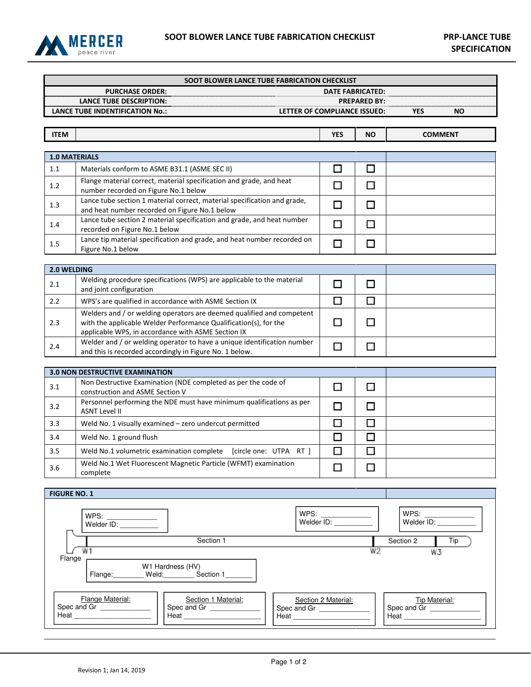

| SOOT BLOWER LANCE TUBE FABRICATION CHECKLIST                                                                                                                                               |                                                                                                                                                                                                 |            |                     |                  |  |  |  |
|--------------------------------------------------------------------------------------------------------------------------------------------------------------------------------------------|-------------------------------------------------------------------------------------------------------------------------------------------------------------------------------------------------|------------|---------------------|------------------|--|--|--|
|                                                                                                                                                                                            | <b>DATE FABRICATED:</b>                                                                                                                                                                         |            |                     |                  |  |  |  |
| <b>LANCE TUBE DESCRIPTION:</b><br><b>LANCE TUBE INDENTIFICATION No.:</b><br>LETTER OF COMPLIANCE ISSUED:                                                                                   |                                                                                                                                                                                                 |            | <b>PREPARED BY:</b> | <b>YES</b><br>ΝO |  |  |  |
|                                                                                                                                                                                            |                                                                                                                                                                                                 |            |                     |                  |  |  |  |
| <b>ITEM</b>                                                                                                                                                                                |                                                                                                                                                                                                 | <b>YES</b> | <b>NO</b>           | <b>COMMENT</b>   |  |  |  |
|                                                                                                                                                                                            |                                                                                                                                                                                                 |            |                     |                  |  |  |  |
|                                                                                                                                                                                            | <b>1.0 MATERIALS</b>                                                                                                                                                                            |            |                     |                  |  |  |  |
| 1.1                                                                                                                                                                                        | Materials conform to ASME B31.1 (ASME SEC II)<br>Flange material correct, material specification and grade, and heat                                                                            | $\Box$     | □                   |                  |  |  |  |
| 1.2                                                                                                                                                                                        | number recorded on Figure No.1 below                                                                                                                                                            | $\Box$     | $\Box$              |                  |  |  |  |
| 1.3                                                                                                                                                                                        | Lance tube section 1 material correct, material specification and grade,<br>and heat number recorded on Figure No.1 below                                                                       | □          | □                   |                  |  |  |  |
| 1.4                                                                                                                                                                                        | Lance tube section 2 material specification and grade, and heat number<br>recorded on Figure No.1 below                                                                                         | $\Box$     | $\Box$              |                  |  |  |  |
| 1.5                                                                                                                                                                                        | Lance tip material specification and grade, and heat number recorded on<br>Figure No.1 below                                                                                                    | $\Box$     | □                   |                  |  |  |  |
|                                                                                                                                                                                            |                                                                                                                                                                                                 |            |                     |                  |  |  |  |
| 2.0 WELDING                                                                                                                                                                                | Welding procedure specifications (WPS) are applicable to the material                                                                                                                           |            |                     |                  |  |  |  |
| 2.1                                                                                                                                                                                        | and joint configuration                                                                                                                                                                         | $\Box$     | □                   |                  |  |  |  |
| 2.2                                                                                                                                                                                        | WPS's are qualified in accordance with ASME Section IX                                                                                                                                          | $\Box$     | □                   |                  |  |  |  |
| 2.3                                                                                                                                                                                        | Welders and / or welding operators are deemed qualified and competent<br>with the applicable Welder Performance Qualification(s), for the<br>applicable WPS, in accordance with ASME Section IX | $\Box$     | □                   |                  |  |  |  |
| 2.4                                                                                                                                                                                        | Welder and / or welding operator to have a unique identification number<br>and this is recorded accordingly in Figure No. 1 below.                                                              | $\Box$     | □                   |                  |  |  |  |
|                                                                                                                                                                                            |                                                                                                                                                                                                 |            |                     |                  |  |  |  |
|                                                                                                                                                                                            | <b>3.0 NON DESTRUCTIVE EXAMINATION</b><br>Non Destructive Examination (NDE completed as per the code of                                                                                         |            |                     |                  |  |  |  |
| 3.1                                                                                                                                                                                        | construction and ASME Section V                                                                                                                                                                 | $\Box$     | □                   |                  |  |  |  |
| 3.2                                                                                                                                                                                        | Personnel performing the NDE must have minimum qualifications as per<br><b>ASNT Level II</b>                                                                                                    | $\Box$     | □                   |                  |  |  |  |
| 3.3                                                                                                                                                                                        | Weld No. 1 visually examined - zero undercut permitted                                                                                                                                          | $\Box$     | □                   |                  |  |  |  |
| 3.4                                                                                                                                                                                        | Weld No. 1 ground flush                                                                                                                                                                         | $\Box$     | □                   |                  |  |  |  |
| 3.5                                                                                                                                                                                        | Weld No.1 volumetric examination complete [circle one: UTPA RT ]                                                                                                                                | $\Box$     | □                   |                  |  |  |  |
| 3.6                                                                                                                                                                                        | Weld No.1 Wet Fluorescent Magnetic Particle (WFMT) examination<br>complete                                                                                                                      | $\Box$     | $\Box$              |                  |  |  |  |
|                                                                                                                                                                                            |                                                                                                                                                                                                 |            |                     |                  |  |  |  |
| <b>FIGURE NO. 1</b>                                                                                                                                                                        |                                                                                                                                                                                                 |            |                     |                  |  |  |  |
| WPS: ______________<br>Welder ID: ___________<br>WPS:<br>Welder ID: __________<br>WPS:<br>WPS: ______________<br>Welder ID: __________                                                     |                                                                                                                                                                                                 |            |                     |                  |  |  |  |
| Tip<br>Section 1<br>Section 2                                                                                                                                                              |                                                                                                                                                                                                 |            |                     |                  |  |  |  |
| W <sub>2</sub><br>W1<br>W3<br>Flange                                                                                                                                                       |                                                                                                                                                                                                 |            |                     |                  |  |  |  |
| W1 Hardness (HV)<br>Flange: Weld: Section 1                                                                                                                                                |                                                                                                                                                                                                 |            |                     |                  |  |  |  |
| Flange Material:<br>Section 1 Material:<br>Tip Material:<br>Section 2 Material:<br>Spec and Gr ______________<br>Spec and Gr ________________<br>Spec and Gr<br>Spec and Gr ______________ |                                                                                                                                                                                                 |            |                     |                  |  |  |  |
| Heat<br>Heat <b>Heat</b>                                                                                                                                                                   |                                                                                                                                                                                                 |            |                     |                  |  |  |  |